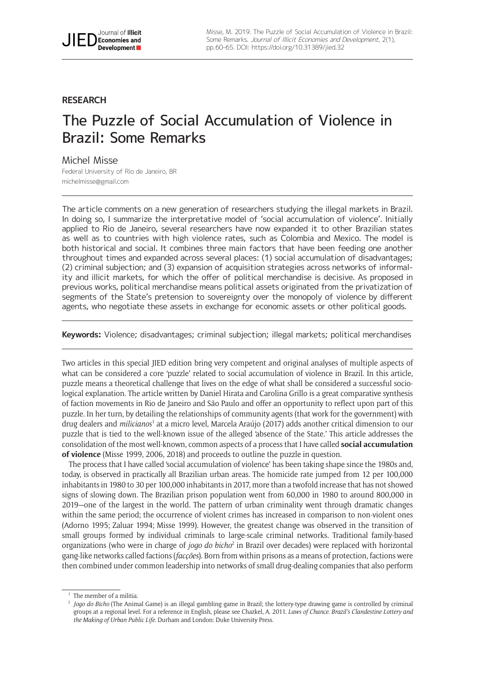# **RESEARCH**

# The Puzzle of Social Accumulation of Violence in Brazil: Some Remarks

# Michel Misse

Federal University of Rio de Janeiro, BR [michelmisse@gmail.com](mailto:michelmisse@gmail.com)

The article comments on a new generation of researchers studying the illegal markets in Brazil. In doing so, I summarize the interpretative model of 'social accumulation of violence'. Initially applied to Rio de Janeiro, several researchers have now expanded it to other Brazilian states as well as to countries with high violence rates, such as Colombia and Mexico. The model is both historical and social. It combines three main factors that have been feeding one another throughout times and expanded across several places: (1) social accumulation of disadvantages; (2) criminal subjection; and (3) expansion of acquisition strategies across networks of informality and illicit markets, for which the offer of political merchandise is decisive. As proposed in previous works, political merchandise means political assets originated from the privatization of segments of the State's pretension to sovereignty over the monopoly of violence by different agents, who negotiate these assets in exchange for economic assets or other political goods.

**Keywords:** Violence; disadvantages; criminal subjection; illegal markets; political merchandises

Two articles in this special JIED edition bring very competent and original analyses of multiple aspects of what can be considered a core 'puzzle' related to social accumulation of violence in Brazil. In this article, puzzle means a theoretical challenge that lives on the edge of what shall be considered a successful sociological explanation. The article written by Daniel Hirata and Carolina Grillo is a great comparative synthesis of faction movements in Rio de Janeiro and São Paulo and offer an opportunity to reflect upon part of this puzzle. In her turn, by detailing the relationships of community agents (that work for the government) with drug dealers and *milicianos<sup>1</sup>* at a micro level, Marcela Araújo (2017) adds another critical dimension to our puzzle that is tied to the well-known issue of the alleged 'absence of the State.' This article addresses the consolidation of the most well-known, common aspects of a process that I have called **social accumulation of violence** (Misse 1999, 2006, 2018) and proceeds to outline the puzzle in question.

The process that I have called 'social accumulation of violence' has been taking shape since the 1980s and, today, is observed in practically all Brazilian urban areas. The homicide rate jumped from 12 per 100,000 inhabitants in 1980 to 30 per 100,000 inhabitants in 2017, more than a twofold increase that has not showed signs of slowing down. The Brazilian prison population went from 60,000 in 1980 to around 800,000 in 2019—one of the largest in the world. The pattern of urban criminality went through dramatic changes within the same period; the occurrence of violent crimes has increased in comparison to non-violent ones (Adorno 1995; Zaluar 1994; Misse 1999). However, the greatest change was observed in the transition of small groups formed by individual criminals to large-scale criminal networks. Traditional family-based organizations (who were in charge of *jogo do bicho*<sup>2</sup> in Brazil over decades) were replaced with horizontal gang-like networks called factions (*facções*). Born from within prisons as a means of protection, factions were then combined under common leadership into networks of small drug-dealing companies that also perform

The member of a militia.

<sup>2</sup> *Jogo do Bicho* (The Animal Game) is an illegal gambling game in Brazil; the lottery-type drawing game is controlled by criminal groups at a regional level. For a reference in English, please see Chazkel, A. 2011. *Laws of Chance. Brazil's Clandestine Lottery and the Making of Urban Public Life*. Durham and London: Duke University Press.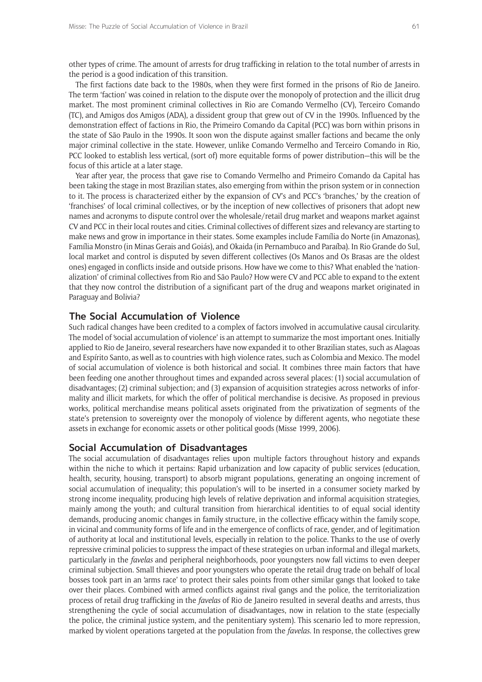other types of crime. The amount of arrests for drug trafficking in relation to the total number of arrests in the period is a good indication of this transition.

The first factions date back to the 1980s, when they were first formed in the prisons of Rio de Janeiro. The term 'faction' was coined in relation to the dispute over the monopoly of protection and the illicit drug market. The most prominent criminal collectives in Rio are Comando Vermelho (CV), Terceiro Comando (TC), and Amigos dos Amigos (ADA), a dissident group that grew out of CV in the 1990s. Influenced by the demonstration effect of factions in Rio, the Primeiro Comando da Capital (PCC) was born within prisons in the state of São Paulo in the 1990s. It soon won the dispute against smaller factions and became the only major criminal collective in the state. However, unlike Comando Vermelho and Terceiro Comando in Rio, PCC looked to establish less vertical, (sort of) more equitable forms of power distribution—this will be the focus of this article at a later stage.

Year after year, the process that gave rise to Comando Vermelho and Primeiro Comando da Capital has been taking the stage in most Brazilian states, also emerging from within the prison system or in connection to it. The process is characterized either by the expansion of CV's and PCC's 'branches,' by the creation of 'franchises' of local criminal collectives, or by the inception of new collectives of prisoners that adopt new names and acronyms to dispute control over the wholesale/retail drug market and weapons market against CV and PCC in their local routes and cities. Criminal collectives of different sizes and relevancy are starting to make news and grow in importance in their states. Some examples include Família do Norte (in Amazonas), Família Monstro (in Minas Gerais and Goiás), and Okaida (in Pernambuco and Paraíba). In Rio Grande do Sul, local market and control is disputed by seven different collectives (Os Manos and Os Brasas are the oldest ones) engaged in conflicts inside and outside prisons. How have we come to this? What enabled the 'nationalization' of criminal collectives from Rio and São Paulo? How were CV and PCC able to expand to the extent that they now control the distribution of a significant part of the drug and weapons market originated in Paraguay and Bolivia?

# **The Social Accumulation of Violence**

Such radical changes have been credited to a complex of factors involved in accumulative causal circularity. The model of 'social accumulation of violence' is an attempt to summarize the most important ones. Initially applied to Rio de Janeiro, several researchers have now expanded it to other Brazilian states, such as Alagoas and Espírito Santo, as well as to countries with high violence rates, such as Colombia and Mexico. The model of social accumulation of violence is both historical and social. It combines three main factors that have been feeding one another throughout times and expanded across several places: (1) social accumulation of disadvantages; (2) criminal subjection; and (3) expansion of acquisition strategies across networks of informality and illicit markets, for which the offer of political merchandise is decisive. As proposed in previous works, political merchandise means political assets originated from the privatization of segments of the state's pretension to sovereignty over the monopoly of violence by different agents, who negotiate these assets in exchange for economic assets or other political goods (Misse 1999, 2006).

# **Social Accumulation of Disadvantages**

The social accumulation of disadvantages relies upon multiple factors throughout history and expands within the niche to which it pertains: Rapid urbanization and low capacity of public services (education, health, security, housing, transport) to absorb migrant populations, generating an ongoing increment of social accumulation of inequality; this population's will to be inserted in a consumer society marked by strong income inequality, producing high levels of relative deprivation and informal acquisition strategies, mainly among the youth; and cultural transition from hierarchical identities to of equal social identity demands, producing anomic changes in family structure, in the collective efficacy within the family scope, in vicinal and community forms of life and in the emergence of conflicts of race, gender, and of legitimation of authority at local and institutional levels, especially in relation to the police. Thanks to the use of overly repressive criminal policies to suppress the impact of these strategies on urban informal and illegal markets, particularly in the *favelas* and peripheral neighborhoods, poor youngsters now fall victims to even deeper criminal subjection. Small thieves and poor youngsters who operate the retail drug trade on behalf of local bosses took part in an 'arms race' to protect their sales points from other similar gangs that looked to take over their places. Combined with armed conflicts against rival gangs and the police, the territorialization process of retail drug trafficking in the *favelas* of Rio de Janeiro resulted in several deaths and arrests, thus strengthening the cycle of social accumulation of disadvantages, now in relation to the state (especially the police, the criminal justice system, and the penitentiary system). This scenario led to more repression, marked by violent operations targeted at the population from the *favelas*. In response, the collectives grew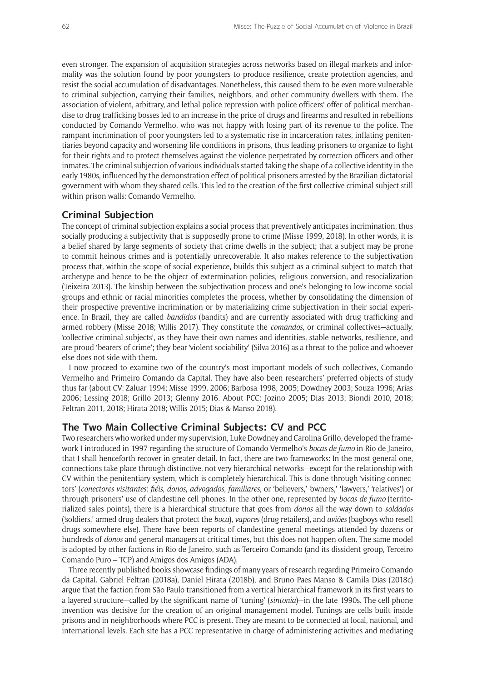even stronger. The expansion of acquisition strategies across networks based on illegal markets and informality was the solution found by poor youngsters to produce resilience, create protection agencies, and resist the social accumulation of disadvantages. Nonetheless, this caused them to be even more vulnerable to criminal subjection, carrying their families, neighbors, and other community dwellers with them. The association of violent, arbitrary, and lethal police repression with police officers' offer of political merchandise to drug trafficking bosses led to an increase in the price of drugs and firearms and resulted in rebellions conducted by Comando Vermelho, who was not happy with losing part of its revenue to the police. The rampant incrimination of poor youngsters led to a systematic rise in incarceration rates, inflating penitentiaries beyond capacity and worsening life conditions in prisons, thus leading prisoners to organize to fight for their rights and to protect themselves against the violence perpetrated by correction officers and other inmates. The criminal subjection of various individuals started taking the shape of a collective identity in the early 1980s, influenced by the demonstration effect of political prisoners arrested by the Brazilian dictatorial government with whom they shared cells. This led to the creation of the first collective criminal subject still within prison walls: Comando Vermelho.

#### **Criminal Subjection**

The concept of criminal subjection explains a social process that preventively anticipates incrimination, thus socially producing a subjectivity that is supposedly prone to crime (Misse 1999, 2018). In other words, it is a belief shared by large segments of society that crime dwells in the subject; that a subject may be prone to commit heinous crimes and is potentially unrecoverable. It also makes reference to the subjectivation process that, within the scope of social experience, builds this subject as a criminal subject to match that archetype and hence to be the object of extermination policies, religious conversion, and resocialization (Teixeira 2013). The kinship between the subjectivation process and one's belonging to low-income social groups and ethnic or racial minorities completes the process, whether by consolidating the dimension of their prospective preventive incrimination or by materializing crime subjectivation in their social experience. In Brazil, they are called *bandidos* (bandits) and are currently associated with drug trafficking and armed robbery (Misse 2018; Willis 2017). They constitute the *comandos*, or criminal collectives—actually, 'collective criminal subjects', as they have their own names and identities, stable networks, resilience, and are proud 'bearers of crime'; they bear 'violent sociability' (Silva 2016) as a threat to the police and whoever else does not side with them.

I now proceed to examine two of the country's most important models of such collectives, Comando Vermelho and Primeiro Comando da Capital. They have also been researchers' preferred objects of study thus far (about CV: Zaluar 1994; Misse 1999, 2006; Barbosa 1998, 2005; Dowdney 2003; Souza 1996; Arias 2006; Lessing 2018; Grillo 2013; Glenny 2016. About PCC: Jozino 2005; Dias 2013; Biondi 2010, 2018; Feltran 2011, 2018; Hirata 2018; Willis 2015; Dias & Manso 2018).

#### **The Two Main Collective Criminal Subjects: CV and PCC**

Two researchers who worked under my supervision, Luke Dowdney and Carolina Grillo, developed the framework I introduced in 1997 regarding the structure of Comando Vermelho's *bocas de fumo* in Rio de Janeiro, that I shall henceforth recover in greater detail. In fact, there are two frameworks: In the most general one, connections take place through distinctive, not very hierarchical networks—except for the relationship with CV within the penitentiary system, which is completely hierarchical. This is done through 'visiting connectors' (*conectores visitantes*: *fiéis*, *donos*, *advogados*, *familiares*, or 'believers,' 'owners,' 'lawyers,' 'relatives') or through prisoners' use of clandestine cell phones. In the other one, represented by *bocas de fumo* (territorialized sales points), there is a hierarchical structure that goes from *donos* all the way down to *soldados* ('soldiers,' armed drug dealers that protect the *boca*), *vapores* (drug retailers), and *aviões* (bagboys who resell drugs somewhere else). There have been reports of clandestine general meetings attended by dozens or hundreds of *donos* and general managers at critical times, but this does not happen often. The same model is adopted by other factions in Rio de Janeiro, such as Terceiro Comando (and its dissident group, Terceiro Comando Puro – TCP) and Amigos dos Amigos (ADA).

Three recently published books showcase findings of many years of research regarding Primeiro Comando da Capital. Gabriel Feltran (2018a), Daniel Hirata (2018b), and Bruno Paes Manso & Camila Dias (2018c) argue that the faction from São Paulo transitioned from a vertical hierarchical framework in its first years to a layered structure—called by the significant name of 'tuning' (*sintonia*)—in the late 1990s. The cell phone invention was decisive for the creation of an original management model. Tunings are cells built inside prisons and in neighborhoods where PCC is present. They are meant to be connected at local, national, and international levels. Each site has a PCC representative in charge of administering activities and mediating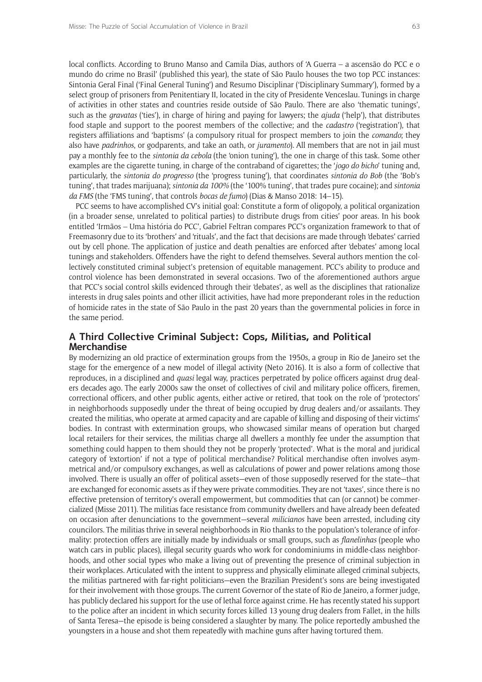local conflicts. According to Bruno Manso and Camila Dias, authors of 'A Guerra – a ascensão do PCC e o mundo do crime no Brasil' (published this year), the state of São Paulo houses the two top PCC instances: Sintonia Geral Final ('Final General Tuning') and Resumo Disciplinar ('Disciplinary Summary'), formed by a select group of prisoners from Penitentiary II, located in the city of Presidente Venceslau. Tunings in charge of activities in other states and countries reside outside of São Paulo. There are also 'thematic tunings', such as the *gravatas* ('ties'), in charge of hiring and paying for lawyers; the *ajuda* ('help'), that distributes food staple and support to the poorest members of the collective; and the *cadastro* ('registration'), that registers affiliations and 'baptisms' (a compulsory ritual for prospect members to join the *comando*; they also have *padrinhos*, or godparents, and take an oath, or *juramento*). All members that are not in jail must pay a monthly fee to the *sintonia da cebola* (the 'onion tuning'), the one in charge of this task. Some other examples are the cigarette tuning, in charge of the contraband of cigarettes; the '*jogo do bicho*' tuning and, particularly, the *sintonia do progresso* (the 'progress tuning'), that coordinates *sintonia do Bob* (the 'Bob's tuning', that trades marijuana); *sintonia da 100%* (the '100% tuning', that trades pure cocaine); and *sintonia da FMS* (the 'FMS tuning', that controls *bocas de fumo*) (Dias & Manso 2018: 14–15).

PCC seems to have accomplished CV's initial goal: Constitute a form of oligopoly, a political organization (in a broader sense, unrelated to political parties) to distribute drugs from cities' poor areas. In his book entitled 'Irmãos – Uma história do PCC', Gabriel Feltran compares PCC's organization framework to that of Freemasonry due to its 'brothers' and 'rituals', and the fact that decisions are made through 'debates' carried out by cell phone. The application of justice and death penalties are enforced after 'debates' among local tunings and stakeholders. Offenders have the right to defend themselves. Several authors mention the collectively constituted criminal subject's pretension of equitable management. PCC's ability to produce and control violence has been demonstrated in several occasions. Two of the aforementioned authors argue that PCC's social control skills evidenced through their 'debates', as well as the disciplines that rationalize interests in drug sales points and other illicit activities, have had more preponderant roles in the reduction of homicide rates in the state of São Paulo in the past 20 years than the governmental policies in force in the same period.

# **A Third Collective Criminal Subject: Cops, Militias, and Political Merchandise**

By modernizing an old practice of extermination groups from the 1950s, a group in Rio de Janeiro set the stage for the emergence of a new model of illegal activity (Neto 2016). It is also a form of collective that reproduces, in a disciplined and *quasi* legal way, practices perpetrated by police officers against drug dealers decades ago. The early 2000s saw the onset of collectives of civil and military police officers, firemen, correctional officers, and other public agents, either active or retired, that took on the role of 'protectors' in neighborhoods supposedly under the threat of being occupied by drug dealers and/or assailants. They created the militias, who operate at armed capacity and are capable of killing and disposing of their victims' bodies. In contrast with extermination groups, who showcased similar means of operation but charged local retailers for their services, the militias charge all dwellers a monthly fee under the assumption that something could happen to them should they not be properly 'protected'. What is the moral and juridical category of 'extortion' if not a type of political merchandise? Political merchandise often involves asymmetrical and/or compulsory exchanges, as well as calculations of power and power relations among those involved. There is usually an offer of political assets—even of those supposedly reserved for the state—that are exchanged for economic assets as if they were private commodities. They are not 'taxes', since there is no effective pretension of territory's overall empowerment, but commodities that can (or cannot) be commercialized (Misse 2011). The militias face resistance from community dwellers and have already been defeated on occasion after denunciations to the government—several *milicianos* have been arrested, including city councilors. The militias thrive in several neighborhoods in Rio thanks to the population's tolerance of informality: protection offers are initially made by individuals or small groups, such as *flanelinhas* (people who watch cars in public places), illegal security guards who work for condominiums in middle-class neighborhoods, and other social types who make a living out of preventing the presence of criminal subjection in their workplaces. Articulated with the intent to suppress and physically eliminate alleged criminal subjects, the militias partnered with far-right politicians—even the Brazilian President's sons are being investigated for their involvement with those groups. The current Governor of the state of Rio de Janeiro, a former judge, has publicly declared his support for the use of lethal force against crime. He has recently stated his support to the police after an incident in which security forces killed 13 young drug dealers from Fallet, in the hills of Santa Teresa—the episode is being considered a slaughter by many. The police reportedly ambushed the youngsters in a house and shot them repeatedly with machine guns after having tortured them.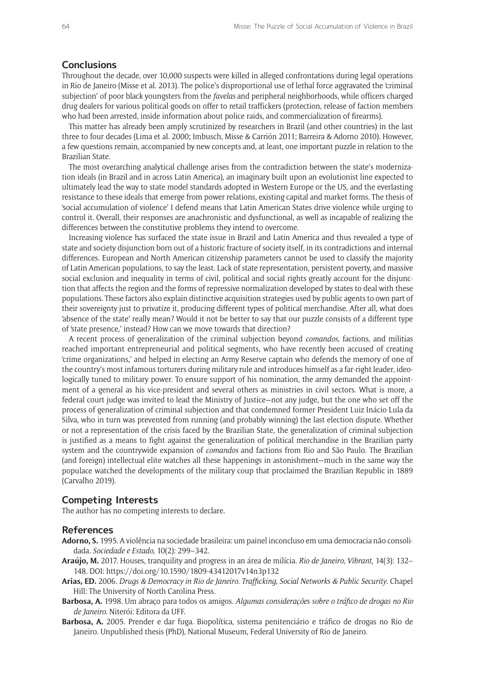#### **Conclusions**

Throughout the decade, over 10,000 suspects were killed in alleged confrontations during legal operations in Rio de Janeiro (Misse et al. 2013). The police's disproportional use of lethal force aggravated the 'criminal subjection' of poor black youngsters from the *favelas* and peripheral neighborhoods, while officers charged drug dealers for various political goods on offer to retail traffickers (protection, release of faction members who had been arrested, inside information about police raids, and commercialization of firearms).

This matter has already been amply scrutinized by researchers in Brazil (and other countries) in the last three to four decades (Lima et al. 2000; Imbusch, Misse & Carrión 2011; Barreira & Adorno 2010). However, a few questions remain, accompanied by new concepts and, at least, one important puzzle in relation to the Brazilian State.

The most overarching analytical challenge arises from the contradiction between the state's modernization ideals (in Brazil and in across Latin America), an imaginary built upon an evolutionist line expected to ultimately lead the way to state model standards adopted in Western Europe or the US, and the everlasting resistance to these ideals that emerge from power relations, existing capital and market forms. The thesis of 'social accumulation of violence' I defend means that Latin American States drive violence while urging to control it. Overall, their responses are anachronistic and dysfunctional, as well as incapable of realizing the differences between the constitutive problems they intend to overcome.

Increasing violence has surfaced the state issue in Brazil and Latin America and thus revealed a type of state and society disjunction born out of a historic fracture of society itself, in its contradictions and internal differences. European and North American citizenship parameters cannot be used to classify the majority of Latin American populations, to say the least. Lack of state representation, persistent poverty, and massive social exclusion and inequality in terms of civil, political and social rights greatly account for the disjunction that affects the region and the forms of repressive normalization developed by states to deal with these populations. These factors also explain distinctive acquisition strategies used by public agents to own part of their sovereignty just to privatize it, producing different types of political merchandise. After all, what does 'absence of the state' really mean? Would it not be better to say that our puzzle consists of a different type of 'state presence,' instead? How can we move towards that direction?

A recent process of generalization of the criminal subjection beyond *comandos*, factions, and militias reached important entrepreneurial and political segments, who have recently been accused of creating 'crime organizations,' and helped in electing an Army Reserve captain who defends the memory of one of the country's most infamous torturers during military rule and introduces himself as a far-right leader, ideologically tuned to military power. To ensure support of his nomination, the army demanded the appointment of a general as his vice-president and several others as ministries in civil sectors. What is more, a federal court judge was invited to lead the Ministry of Justice—not any judge, but the one who set off the process of generalization of criminal subjection and that condemned former President Luiz Inácio Lula da Silva, who in turn was prevented from running (and probably winning) the last election dispute. Whether or not a representation of the crisis faced by the Brazilian State, the generalization of criminal subjection is justified as a means to fight against the generalization of political merchandise in the Brazilian party system and the countrywide expansion of *comandos* and factions from Rio and São Paulo. The Brazilian (and foreign) intellectual elite watches all these happenings in astonishment—much in the same way the populace watched the developments of the military coup that proclaimed the Brazilian Republic in 1889 (Carvalho 2019).

#### **Competing Interests**

The author has no competing interests to declare.

## **References**

- **Adorno, S.** 1995. A violência na sociedade brasileira: um painel inconcluso em uma democracia não consolidada. *Sociedade e Estado*, 10(2): 299–342.
- **Araújo, M.** 2017. Houses, tranquility and progress in an área de milícia. *Rio de Janeiro, Vibrant*, 14(3): 132– 148. DOI:<https://doi.org/10.1590/1809-43412017v14n3p132>
- **Arias, ED.** 2006. *Drugs & Democracy in Rio de Janeiro. Trafficking, Social Networks & Public Security*. Chapel Hill: The University of North Carolina Press.
- **Barbosa, A.** 1998. Um abraço para todos os amigos. *Algumas considerações sobre o tráfico de drogas no Rio de Janeiro*. Niterói: Editora da UFF.
- **Barbosa, A.** 2005. Prender e dar fuga. Biopolítica, sistema penitenciário e tráfico de drogas no Rio de Janeiro. Unpublished thesis (PhD), National Museum, Federal University of Rio de Janeiro.